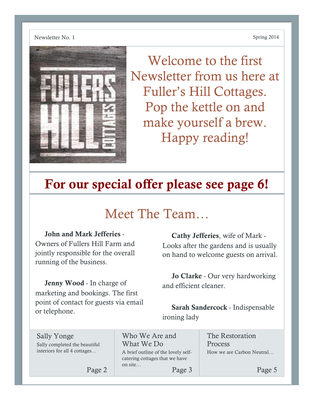

Welcome to the first Newsletter from us here at Fuller's Hill Cottages. Pop the kettle on and make yourself a brew. Happy reading!

# For our special offer please see page 6!

## Meet The Team…

John and Mark Jefferies - Owners of Fullers Hill Farm and jointly responsible for the overall running of the business.

Jenny Wood - In charge of marketing and bookings. The first point of contact for guests via email or telephone.

Cathy Jefferies, wife of Mark - Looks after the gardens and is usually on hand to welcome guests on arrival.

Jo Clarke - Our very hardworking and efficient cleaner.

Sarah Sandercock - Indispensable ironing lady

| Sally Yonge                   |
|-------------------------------|
| Sally completed the beautiful |
| interiors for all 4 cottages  |

interiors for all 4 cottages…

Page 2

Who We Are and What We Do A brief outline of the lovely selfcatering cottages that we have on site… Page 3

The Restoration Process How we are Carbon Neutral…

Page 5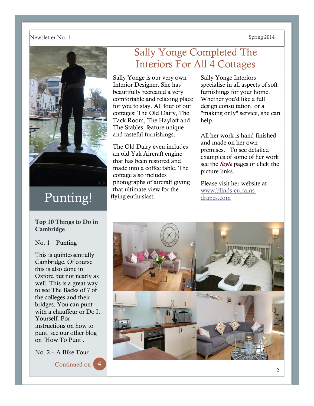

# Punting!

### Top 10 Things to Do in Cambridge

### No.  $1 -$  Punting

This is quintessentially Cambridge. Of course this is also done in Oxford but not nearly as well. This is a great way to see The Backs of 7 of the colleges and their bridges. You can punt with a chauffeur or Do It Yourself. For instructions on how to punt, see our other blog on 'How To Punt'.

No. 2 – A Bike Tour

Continued on

### Sally Yonge Completed The Interiors For All 4 Cottages

Sally Yonge is our very own Interior Designer. She has beautifully recreated a very comfortable and relaxing place for you to stay. All four of our cottages; The Old Dairy, The Tack Room, The Hayloft and The Stables, feature unique and tasteful furnishings.

The Old Dairy even includes an old Yak Aircraft engine that has been restored and made into a coffee table. The cottage also includes photographs of aircraft giving that ultimate view for the flying enthusiast.

Sally Yonge Interiors specialise in all aspects of soft furnishings for your home. Whether you'd like a full design consultation, or a "making only" service, she can help.

All her work is hand finished and made on her own premises. To see detailed examples of some of her work see the *Style* pages or click the picture links.

Please visit her website at www.blinds-curtainsdrapes.com

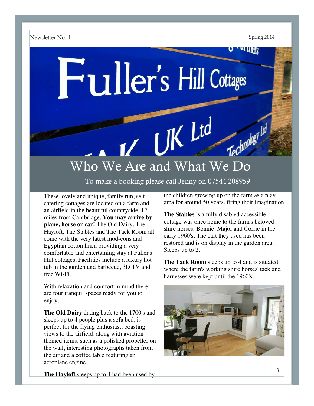**ALLIERS** 

# Fuller's Hill Cottages

# Who We Are and What We Do

To make a booking please call Jenny on 07544 208959

These lovely and unique, family run, selfcatering cottages are located on a farm and an airfield in the beautiful countryside, 12 miles from Cambridge. **You may arrive by plane, horse or car!** The Old Dairy, The Hayloft, The Stables and The Tack Room all come with the very latest mod-cons and Egyptian cotton linen providing a very comfortable and entertaining stay at Fuller's Hill cottages. Facilities include a luxury hot tub in the garden and barbecue, 3D TV and free Wi-Fi.

With relaxation and comfort in mind there are four tranquil spaces ready for you to enjoy.

**The Old Dairy** dating back to the 1700's and sleeps up to 4 people plus a sofa bed, is perfect for the flying enthusiast; boasting views to the airfield, along with aviation themed items, such as a polished propeller on the wall, interesting photographs taken from the air and a coffee table featuring an aeroplane engine.

the children growing up on the farm as a play area for around 50 years, firing their imagination

**The Stables** is a fully disabled accessible cottage was once home to the farm's beloved shire horses; Bonnie, Major and Corrie in the early 1960's. The cart they used has been restored and is on display in the garden area. Sleeps up to 2.

**The Tack Room** sleeps up to 4 and is situated where the farm's working shire horses' tack and harnesses were kept until the 1960's.



**The Hayloft** sleeps up to 4 had been used by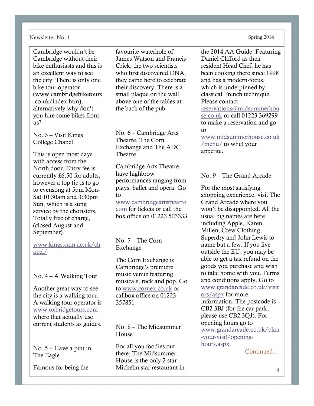Cambridge wouldn't be Cambridge without their bike enthusiasts and this is an excellent way to see the city. There is only one bike tour operator (www.cambridgebiketours .co.uk/index.htm), alternatively why don't you hire some bikes from  $11s<sup>2</sup>$ 

No. 3 – Visit Kings College Chapel

This is open most days with access from the North door. Entry fee is currently £6.50 for adults, however a top tip is to go to evensong at 5pm Mon-Sat 10:30am and 3:30pm Sun, which is a sung service by the choristers. Totally free of charge, (closed August and September).

www.kings.cam.ac.uk/ch apel/

No.  $4 - A$  Walking Tour

Another great way to see the city is a walking tour. A walking tour operator is www.oxbridgetours.com where that actually use current students as guides.

No. 5 – Have a pint in The Eagle

Famous for being the

favourite waterhole of James Watson and Francis Crick; the two scientists who first discovered DNA, they came here to celebrate their discovery. There is a small plaque on the wall above one of the tables at the back of the pub.

No. 6 – Cambridge Arts Theatre, The Corn Exchange and The ADC Theatre

Cambridge Arts Theatre, have highbrow performances ranging from plays, ballet and opera. Go to

www.cambridgeartstheatre. com for tickets or call the box office on 01223 503333

No. 7 – The Corn Exchange

The Corn Exchange is Cambridge's premiere music venue featuring musicals, rock and pop. Go to www.cornex.co.uk or callbox office on 01223 357851

No. 8 – The Midsummer House

For all you foodies out there, The Midsummer House is the only 2 star Michelin star restaurant in

the 2014 AA Guide. Featuring Daniel Clifford as their resident Head Chef, he has been cooking there since 1998 and has a modern-focus, which is underpinned by classical French technique. Please contact

reservations@midsummerhou se.co.uk or call 01223 369299 to make a reservation and go to

www.midsummerhouse.co.uk /menu/ to whet your appetite.

### No. 9 – The Grand Arcade

For the most satisfying shopping experience, visit The Grand Arcade where you won't be disappointed. All the usual big names are here including Apple, Karen Millen, Crew Clothing, Superdry and John Lewis to name but a few. If you live outside the EU, you may be able to get a tax refund on the goods you purchase and wish to take home with you. Terms and conditions apply. Go to www.grandarcade.co.uk/visit ors/aspx for more information. The postcode is CB2 3BJ (for the car park, please use CB2 3QJ). For opening hours go to www.grandarcade.co.uk/plan -your-visit/openinghours.aspx

**Continued**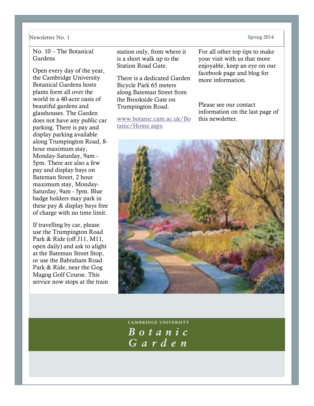No. 10 – The Botanical Gardens

Open every day of the year, the Cambridge University Botanical Gardens hosts plants form all over the world in a 40-acre oasis of beautiful gardens and glasshouses. The Garden does not have any public car parking. There is pay and display parking available along Trumpington Road, 8 hour maximum stay, Monday-Saturday, 9am - 5pm. There are also a few pay and display bays on Bateman Street, 2 hour maximum stay, Monday-Saturday, 9am - 5pm. Blue badge holders may park in these pay & display bays free of charge with no time limit.

If travelling by car, please use the Trumpington Road Park & Ride (off J11, M11, open daily) and ask to alight at the Bateman Street Stop, or use the Babraham Road Park & Ride, near the Gog Magog Golf Course. This service now stops at the train

station only, from where it is a short walk up to the Station Road Gate.

There is a dedicated Garden Bicycle Park 65 meters along Bateman Street from the Brookside Gate on Trumpington Road.

www.botanic.cam.ac.uk/Bo tanic/Home.aspx

For all other top tips to make your visit with us that more enjoyable, keep an eye on our facebook page and blog for more information.

Please see our contact information on the last page of this newsletter.



**CAMBRIDGE UNIVERSITY** Botanic Garden